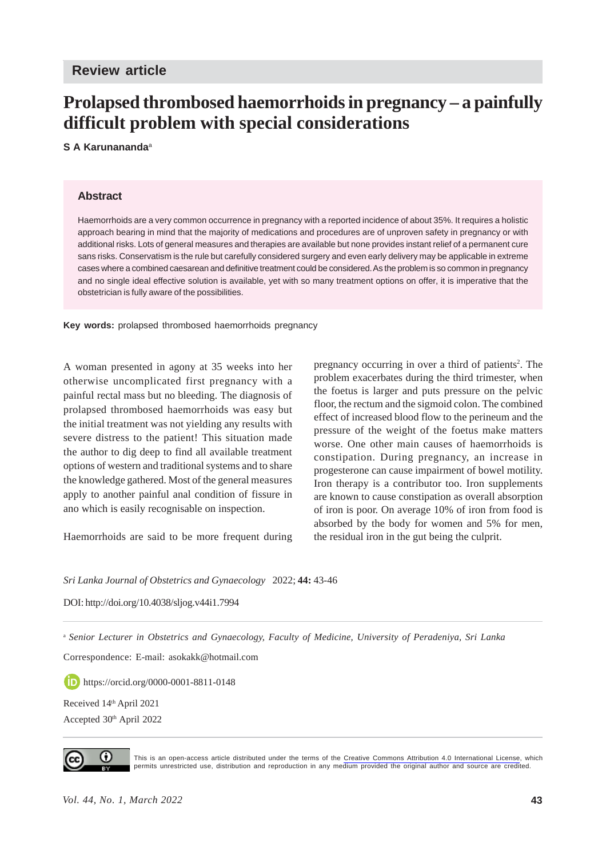# **Prolapsed thrombosed haemorrhoids in pregnancy – a painfully difficult problem with special considerations**

### **S A Karunananda**<sup>a</sup>

#### **Abstract**

Haemorrhoids are a very common occurrence in pregnancy with a reported incidence of about 35%. It requires a holistic approach bearing in mind that the majority of medications and procedures are of unproven safety in pregnancy or with additional risks. Lots of general measures and therapies are available but none provides instant relief of a permanent cure sans risks. Conservatism is the rule but carefully considered surgery and even early delivery may be applicable in extreme cases where a combined caesarean and definitive treatment could be considered. As the problem is so common in pregnancy and no single ideal effective solution is available, yet with so many treatment options on offer, it is imperative that the obstetrician is fully aware of the possibilities.

**Key words:** prolapsed thrombosed haemorrhoids pregnancy

A woman presented in agony at 35 weeks into her otherwise uncomplicated first pregnancy with a painful rectal mass but no bleeding. The diagnosis of prolapsed thrombosed haemorrhoids was easy but the initial treatment was not yielding any results with severe distress to the patient! This situation made the author to dig deep to find all available treatment options of western and traditional systems and to share the knowledge gathered. Most of the general measures apply to another painful anal condition of fissure in ano which is easily recognisable on inspection.

Haemorrhoids are said to be more frequent during

pregnancy occurring in over a third of patients<sup>2</sup>. The problem exacerbates during the third trimester, when the foetus is larger and puts pressure on the pelvic floor, the rectum and the sigmoid colon. The combined effect of increased blood flow to the perineum and the pressure of the weight of the foetus make matters worse. One other main causes of haemorrhoids is constipation. During pregnancy, an increase in progesterone can cause impairment of bowel motility. Iron therapy is a contributor too. Iron supplements are known to cause constipation as overall absorption of iron is poor. On average 10% of iron from food is absorbed by the body for women and 5% for men, the residual iron in the gut being the culprit.

*Sri Lanka Journal of Obstetrics and Gynaecology* 2022; **44:** 43-46

DOI: http://doi.org/10.4038/sljog.v44i1.7994

<sup>a</sup> *Senior Lecturer in Obstetrics and Gynaecology, Faculty of Medicine, University of Peradeniya, Sri Lanka*

Correspondence: E-mail: asokakk@hotmail.com

https://orcid.org/0000-0001-8811-0148

Received 14th April 2021

Accepted 30th April 2022



This is an open-access article distributed under the terms of the [Creative Commons Attribution 4.0 International License](https://creativecommons.org/licenses/by/4.0/), which permits unrestricted use, distribution and reproduction in any medium provided the original author and source are credited.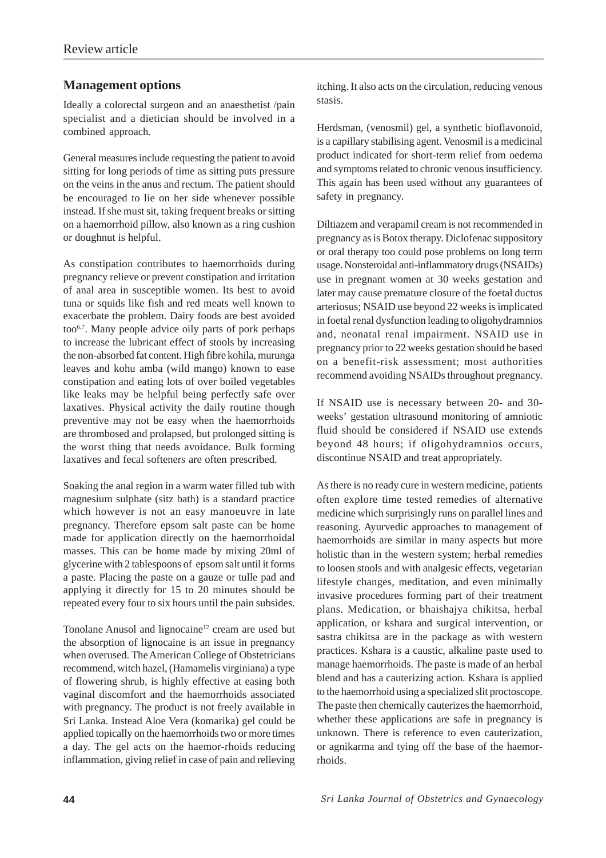## **Management options**

Ideally a colorectal surgeon and an anaesthetist /pain specialist and a dietician should be involved in a combined approach.

General measures include requesting the patient to avoid sitting for long periods of time as sitting puts pressure on the veins in the anus and rectum. The patient should be encouraged to lie on her side whenever possible instead. If she must sit, taking frequent breaks or sitting on a haemorrhoid pillow, also known as a ring cushion or doughnut is helpful.

As constipation contributes to haemorrhoids during pregnancy relieve or prevent constipation and irritation of anal area in susceptible women. Its best to avoid tuna or squids like fish and red meats well known to exacerbate the problem. Dairy foods are best avoided too6,7. Many people advice oily parts of pork perhaps to increase the lubricant effect of stools by increasing the non-absorbed fat content. High fibre kohila, murunga leaves and kohu amba (wild mango) known to ease constipation and eating lots of over boiled vegetables like leaks may be helpful being perfectly safe over laxatives. Physical activity the daily routine though preventive may not be easy when the haemorrhoids are thrombosed and prolapsed, but prolonged sitting is the worst thing that needs avoidance. Bulk forming laxatives and fecal softeners are often prescribed.

Soaking the anal region in a warm water filled tub with magnesium sulphate (sitz bath) is a standard practice which however is not an easy manoeuvre in late pregnancy. Therefore epsom salt paste can be home made for application directly on the haemorrhoidal masses. This can be home made by mixing 20ml of glycerine with 2 tablespoons of epsom salt until it forms a paste. Placing the paste on a gauze or tulle pad and applying it directly for 15 to 20 minutes should be repeated every four to six hours until the pain subsides.

Tonolane Anusol and lignocaine<sup>12</sup> cream are used but the absorption of lignocaine is an issue in pregnancy when overused. The American College of Obstetricians recommend, witch hazel, (Hamamelis virginiana) a type of flowering shrub, is highly effective at easing both vaginal discomfort and the haemorrhoids associated with pregnancy. The product is not freely available in Sri Lanka. Instead Aloe Vera (komarika) gel could be applied topically on the haemorrhoids two or more times a day. The gel acts on the haemor-rhoids reducing inflammation, giving relief in case of pain and relieving itching. It also acts on the circulation, reducing venous stasis.

Herdsman, (venosmil) gel, a synthetic bioflavonoid, is a capillary stabilising agent. Venosmil is a medicinal product indicated for short-term relief from oedema and symptoms related to chronic venous insufficiency. This again has been used without any guarantees of safety in pregnancy.

Diltiazem and verapamil cream is not recommended in pregnancy as is Botox therapy. Diclofenac suppository or oral therapy too could pose problems on long term usage. Nonsteroidal anti-inflammatory drugs (NSAIDs) use in pregnant women at 30 weeks gestation and later may cause premature closure of the foetal ductus arteriosus; NSAID use beyond 22 weeks is implicated in foetal renal dysfunction leading to oligohydramnios and, neonatal renal impairment. NSAID use in pregnancy prior to 22 weeks gestation should be based on a benefit-risk assessment; most authorities recommend avoiding NSAIDs throughout pregnancy.

If NSAID use is necessary between 20- and 30 weeks' gestation ultrasound monitoring of amniotic fluid should be considered if NSAID use extends beyond 48 hours; if oligohydramnios occurs, discontinue NSAID and treat appropriately.

As there is no ready cure in western medicine, patients often explore time tested remedies of alternative medicine which surprisingly runs on parallel lines and reasoning. Ayurvedic approaches to management of haemorrhoids are similar in many aspects but more holistic than in the western system; herbal remedies to loosen stools and with analgesic effects, vegetarian lifestyle changes, meditation, and even minimally invasive procedures forming part of their treatment plans. Medication, or bhaishajya chikitsa, herbal application, or kshara and surgical intervention, or sastra chikitsa are in the package as with western practices. Kshara is a caustic, alkaline paste used to manage haemorrhoids. The paste is made of an herbal blend and has a cauterizing action. Kshara is applied to the haemorrhoid using a specialized slit proctoscope. The paste then chemically cauterizes the haemorrhoid, whether these applications are safe in pregnancy is unknown. There is reference to even cauterization, or agnikarma and tying off the base of the haemorrhoids.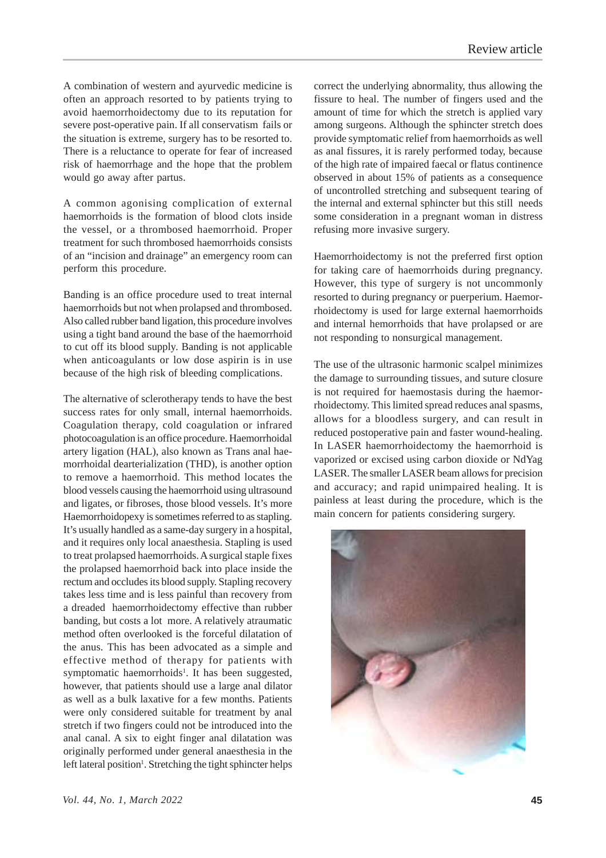A combination of western and ayurvedic medicine is often an approach resorted to by patients trying to avoid haemorrhoidectomy due to its reputation for severe post-operative pain. If all conservatism fails or the situation is extreme, surgery has to be resorted to. There is a reluctance to operate for fear of increased risk of haemorrhage and the hope that the problem would go away after partus.

A common agonising complication of external haemorrhoids is the formation of blood clots inside the vessel, or a thrombosed haemorrhoid. Proper treatment for such thrombosed haemorrhoids consists of an "incision and drainage" an emergency room can perform this procedure.

Banding is an office procedure used to treat internal haemorrhoids but not when prolapsed and thrombosed. Also called rubber band ligation, this procedure involves using a tight band around the base of the haemorrhoid to cut off its blood supply. Banding is not applicable when anticoagulants or low dose aspirin is in use because of the high risk of bleeding complications.

The alternative of sclerotherapy tends to have the best success rates for only small, internal haemorrhoids. Coagulation therapy, cold coagulation or infrared photocoagulation is an office procedure. Haemorrhoidal artery ligation (HAL), also known as Trans anal haemorrhoidal dearterialization (THD), is another option to remove a haemorrhoid. This method locates the blood vessels causing the haemorrhoid using ultrasound and ligates, or fibroses, those blood vessels. It's more Haemorrhoidopexy is sometimes referred to as stapling. It's usually handled as a same-day surgery in a hospital, and it requires only local anaesthesia. Stapling is used to treat prolapsed haemorrhoids. A surgical staple fixes the prolapsed haemorrhoid back into place inside the rectum and occludes its blood supply. Stapling recovery takes less time and is less painful than recovery from a dreaded haemorrhoidectomy effective than rubber banding, but costs a lot more. A relatively atraumatic method often overlooked is the forceful dilatation of the anus. This has been advocated as a simple and effective method of therapy for patients with symptomatic haemorrhoids<sup>1</sup>. It has been suggested, however, that patients should use a large anal dilator as well as a bulk laxative for a few months. Patients were only considered suitable for treatment by anal stretch if two fingers could not be introduced into the anal canal. A six to eight finger anal dilatation was originally performed under general anaesthesia in the left lateral position<sup>1</sup>. Stretching the tight sphincter helps

correct the underlying abnormality, thus allowing the fissure to heal. The number of fingers used and the amount of time for which the stretch is applied vary among surgeons. Although the sphincter stretch does provide symptomatic relief from haemorrhoids as well as anal fissures, it is rarely performed today, because of the high rate of impaired faecal or flatus continence observed in about 15% of patients as a consequence of uncontrolled stretching and subsequent tearing of the internal and external sphincter but this still needs some consideration in a pregnant woman in distress refusing more invasive surgery.

Haemorrhoidectomy is not the preferred first option for taking care of haemorrhoids during pregnancy. However, this type of surgery is not uncommonly resorted to during pregnancy or puerperium. Haemorrhoidectomy is used for large external haemorrhoids and internal hemorrhoids that have prolapsed or are not responding to nonsurgical management.

The use of the ultrasonic harmonic scalpel minimizes the damage to surrounding tissues, and suture closure is not required for haemostasis during the haemorrhoidectomy. This limited spread reduces anal spasms, allows for a bloodless surgery, and can result in reduced postoperative pain and faster wound-healing. In LASER haemorrhoidectomy the haemorrhoid is vaporized or excised using carbon dioxide or NdYag LASER. The smaller LASER beam allows for precision and accuracy; and rapid unimpaired healing. It is painless at least during the procedure, which is the main concern for patients considering surgery.